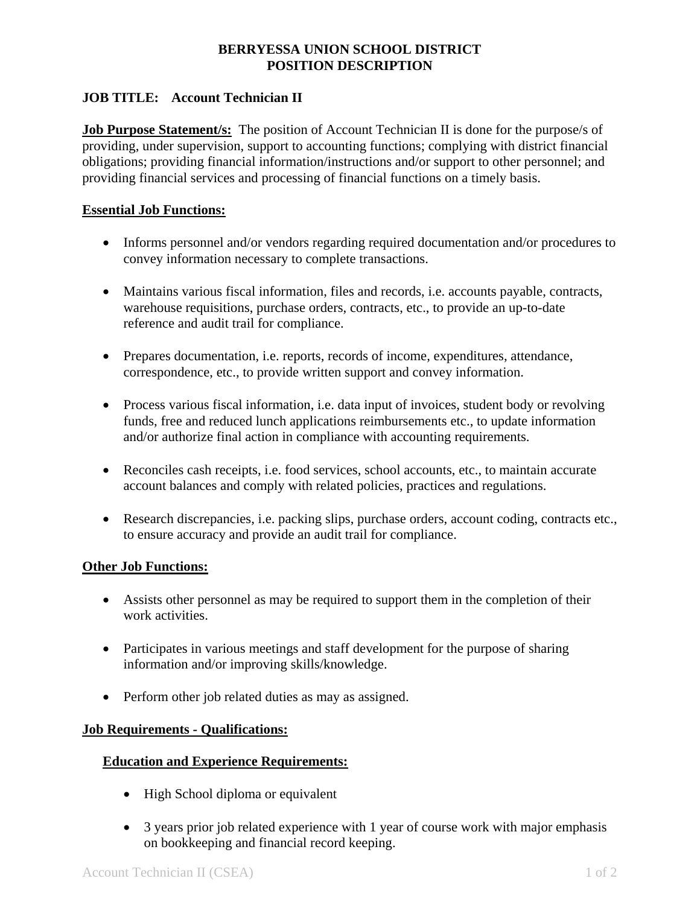# **BERRYESSA UNION SCHOOL DISTRICT POSITION DESCRIPTION**

# **JOB TITLE: Account Technician II**

**Job Purpose Statement/s:** The position of Account Technician II is done for the purpose/s of providing, under supervision, support to accounting functions; complying with district financial obligations; providing financial information/instructions and/or support to other personnel; and providing financial services and processing of financial functions on a timely basis.

### **Essential Job Functions:**

- Informs personnel and/or vendors regarding required documentation and/or procedures to convey information necessary to complete transactions.
- Maintains various fiscal information, files and records, i.e. accounts payable, contracts, warehouse requisitions, purchase orders, contracts, etc., to provide an up-to-date reference and audit trail for compliance.
- Prepares documentation, i.e. reports, records of income, expenditures, attendance, correspondence, etc., to provide written support and convey information.
- Process various fiscal information, i.e. data input of invoices, student body or revolving funds, free and reduced lunch applications reimbursements etc., to update information and/or authorize final action in compliance with accounting requirements.
- Reconciles cash receipts, i.e. food services, school accounts, etc., to maintain accurate account balances and comply with related policies, practices and regulations.
- Research discrepancies, i.e. packing slips, purchase orders, account coding, contracts etc., to ensure accuracy and provide an audit trail for compliance.

#### **Other Job Functions:**

- Assists other personnel as may be required to support them in the completion of their work activities.
- Participates in various meetings and staff development for the purpose of sharing information and/or improving skills/knowledge.
- Perform other job related duties as may as assigned.

## **Job Requirements - Qualifications:**

## **Education and Experience Requirements:**

- High School diploma or equivalent
- 3 years prior job related experience with 1 year of course work with major emphasis on bookkeeping and financial record keeping.